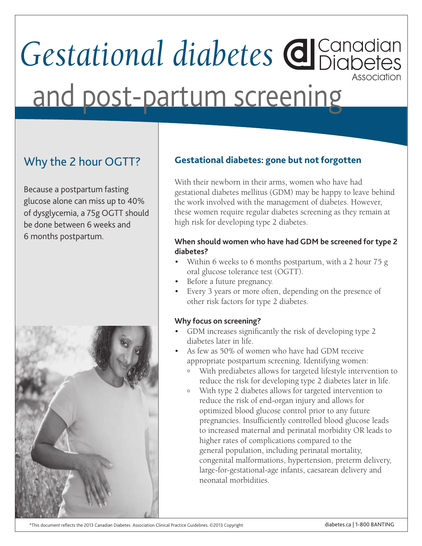# *Gestational diabetes* Association and post-partum screening

## Why the 2 hour OGTT?

Because a postpartum fasting glucose alone can miss up to 40% of dysglycemia, a 75g OGTT should be done between 6 weeks and 6 months postpartum.



### **Gestational diabetes: gone but not forgotten**

With their newborn in their arms, women who have had gestational diabetes mellitus (GDM) may be happy to leave behind the work involved with the management of diabetes. However, these women require regular diabetes screening as they remain at high risk for developing type 2 diabetes.

### **When should women who have had GDM be screened for type 2 diabetes?**

- Within 6 weeks to 6 months postpartum, with a 2 hour 75 g oral glucose tolerance test (OGTT).
- Before a future pregnancy.
- Every 3 years or more often, depending on the presence of other risk factors for type 2 diabetes.

### **Why focus on screening?**

- • GDM increases significantly the risk of developing type 2 diabetes later in life.
- As few as 50% of women who have had GDM receive appropriate postpartum screening. Identifying women:
	- ° With prediabetes allows for targeted lifestyle intervention to reduce the risk for developing type 2 diabetes later in life.
	- ° With type 2 diabetes allows for targeted intervention to reduce the risk of end-organ injury and allows for optimized blood glucose control prior to any future pregnancies. Insufficiently controlled blood glucose leads to increased maternal and perinatal morbidity OR leads to higher rates of complications compared to the general population, including perinatal mortality, congenital malformations, hypertension, preterm delivery, large-for-gestational-age infants, caesarean delivery and neonatal morbidities.

\*This document reflects the 2013 Canadian Diabetes Association Clinical Practice Guidelines. ©2013 Copyright diabetes.ca | 1-800 BANTING